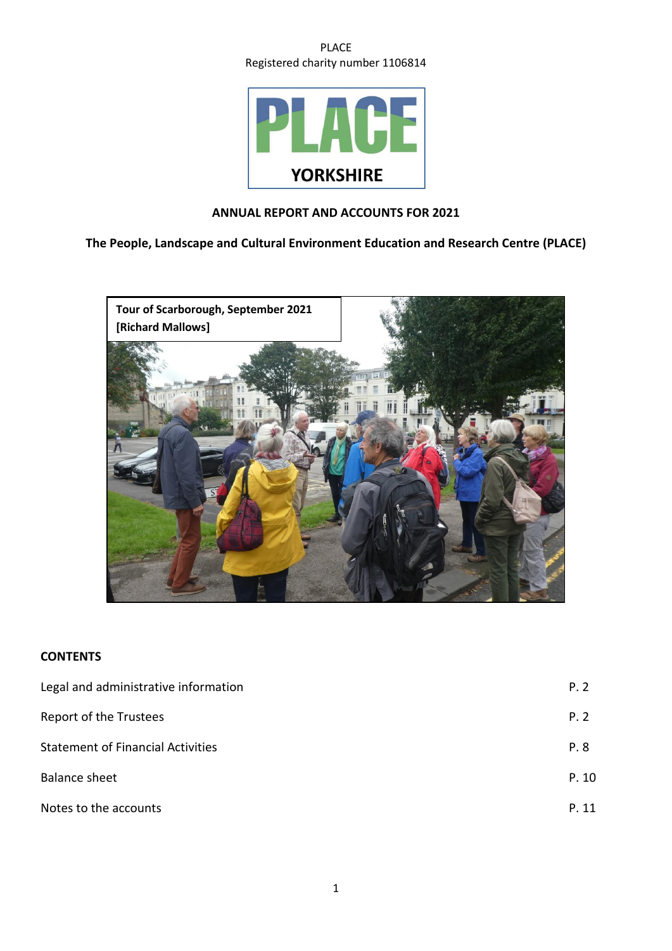

# **ANNUAL REPORT AND ACCOUNTS FOR 2021**

**The People, Landscape and Cultural Environment Education and Research Centre (PLACE)**



# **CONTENTS**

| Legal and administrative information     | P. 2  |
|------------------------------------------|-------|
| <b>Report of the Trustees</b>            | P. 2  |
| <b>Statement of Financial Activities</b> | P. 8  |
| Balance sheet                            | P. 10 |
| Notes to the accounts                    | P. 11 |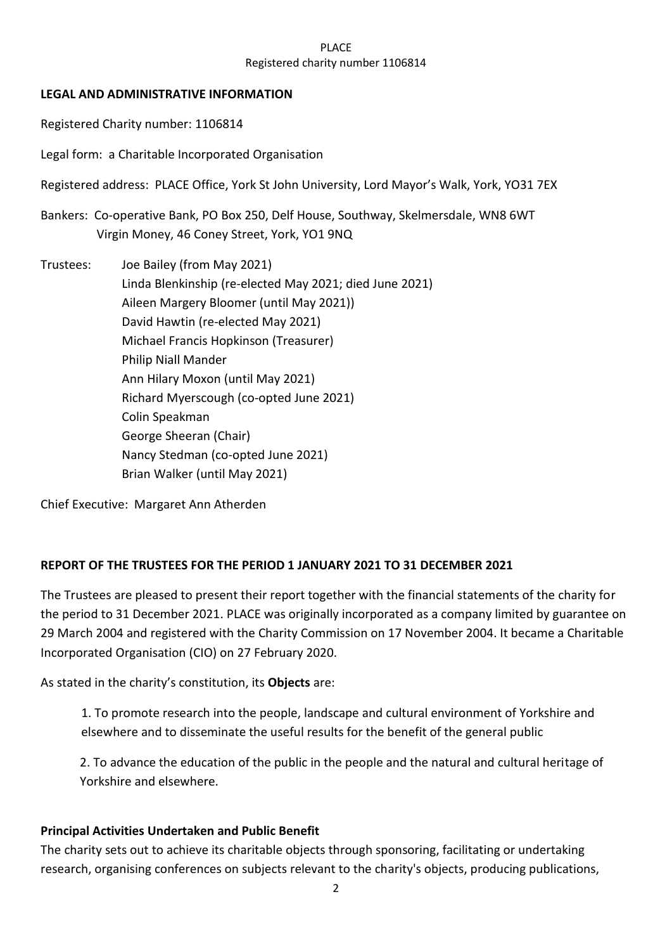# **LEGAL AND ADMINISTRATIVE INFORMATION**

Registered Charity number: 1106814

Legal form: a Charitable Incorporated Organisation

Registered address: PLACE Office, York St John University, Lord Mayor's Walk, York, YO31 7EX

Bankers: Co-operative Bank, PO Box 250, Delf House, Southway, Skelmersdale, WN8 6WT Virgin Money, 46 Coney Street, York, YO1 9NQ

Trustees: Joe Bailey (from May 2021) Linda Blenkinship (re-elected May 2021; died June 2021) Aileen Margery Bloomer (until May 2021)) David Hawtin (re-elected May 2021) Michael Francis Hopkinson (Treasurer) Philip Niall Mander Ann Hilary Moxon (until May 2021) Richard Myerscough (co-opted June 2021) Colin Speakman George Sheeran (Chair) Nancy Stedman (co-opted June 2021) Brian Walker (until May 2021)

Chief Executive: Margaret Ann Atherden

# **REPORT OF THE TRUSTEES FOR THE PERIOD 1 JANUARY 2021 TO 31 DECEMBER 2021**

The Trustees are pleased to present their report together with the financial statements of the charity for the period to 31 December 2021. PLACE was originally incorporated as a company limited by guarantee on 29 March 2004 and registered with the Charity Commission on 17 November 2004. It became a Charitable Incorporated Organisation (CIO) on 27 February 2020.

As stated in the charity's constitution, its **Objects** are:

1. To promote research into the people, landscape and cultural environment of Yorkshire and elsewhere and to disseminate the useful results for the benefit of the general public

2. To advance the education of the public in the people and the natural and cultural heritage of Yorkshire and elsewhere.

# **Principal Activities Undertaken and Public Benefit**

The charity sets out to achieve its charitable objects through sponsoring, facilitating or undertaking research, organising conferences on subjects relevant to the charity's objects, producing publications,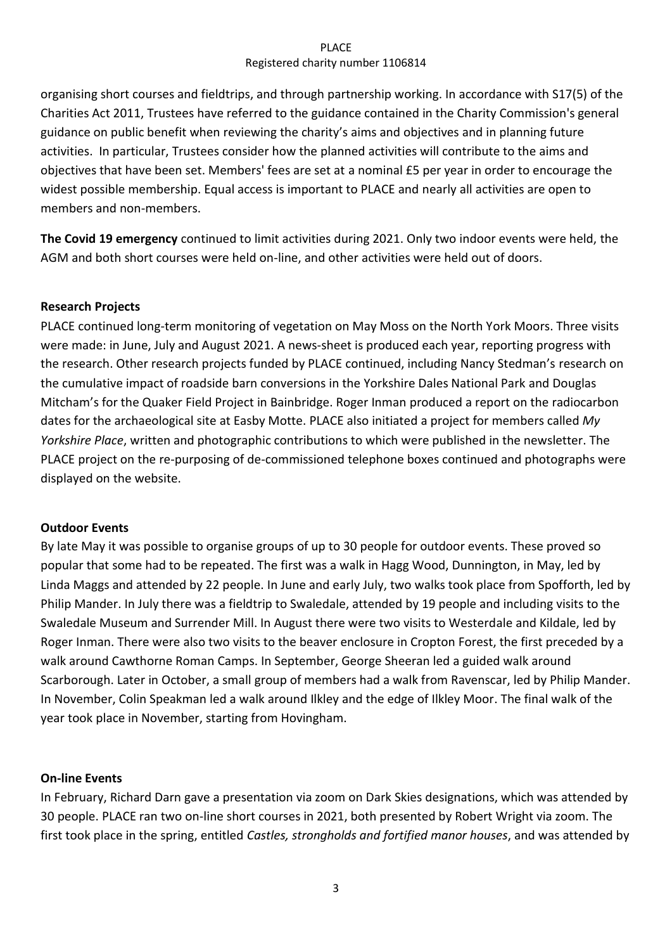organising short courses and fieldtrips, and through partnership working. In accordance with S17(5) of the Charities Act 2011, Trustees have referred to the guidance contained in the Charity Commission's general guidance on public benefit when reviewing the charity's aims and objectives and in planning future activities. In particular, Trustees consider how the planned activities will contribute to the aims and objectives that have been set. Members' fees are set at a nominal £5 per year in order to encourage the widest possible membership. Equal access is important to PLACE and nearly all activities are open to members and non-members.

**The Covid 19 emergency** continued to limit activities during 2021. Only two indoor events were held, the AGM and both short courses were held on-line, and other activities were held out of doors.

# **Research Projects**

PLACE continued long-term monitoring of vegetation on May Moss on the North York Moors. Three visits were made: in June, July and August 2021. A news-sheet is produced each year, reporting progress with the research. Other research projects funded by PLACE continued, including Nancy Stedman's research on the cumulative impact of roadside barn conversions in the Yorkshire Dales National Park and Douglas Mitcham's for the Quaker Field Project in Bainbridge. Roger Inman produced a report on the radiocarbon dates for the archaeological site at Easby Motte. PLACE also initiated a project for members called *My Yorkshire Place*, written and photographic contributions to which were published in the newsletter. The PLACE project on the re-purposing of de-commissioned telephone boxes continued and photographs were displayed on the website.

# **Outdoor Events**

By late May it was possible to organise groups of up to 30 people for outdoor events. These proved so popular that some had to be repeated. The first was a walk in Hagg Wood, Dunnington, in May, led by Linda Maggs and attended by 22 people. In June and early July, two walks took place from Spofforth, led by Philip Mander. In July there was a fieldtrip to Swaledale, attended by 19 people and including visits to the Swaledale Museum and Surrender Mill. In August there were two visits to Westerdale and Kildale, led by Roger Inman. There were also two visits to the beaver enclosure in Cropton Forest, the first preceded by a walk around Cawthorne Roman Camps. In September, George Sheeran led a guided walk around Scarborough. Later in October, a small group of members had a walk from Ravenscar, led by Philip Mander. In November, Colin Speakman led a walk around Ilkley and the edge of Ilkley Moor. The final walk of the year took place in November, starting from Hovingham.

# **On-line Events**

In February, Richard Darn gave a presentation via zoom on Dark Skies designations, which was attended by 30 people. PLACE ran two on-line short courses in 2021, both presented by Robert Wright via zoom. The first took place in the spring, entitled *Castles, strongholds and fortified manor houses*, and was attended by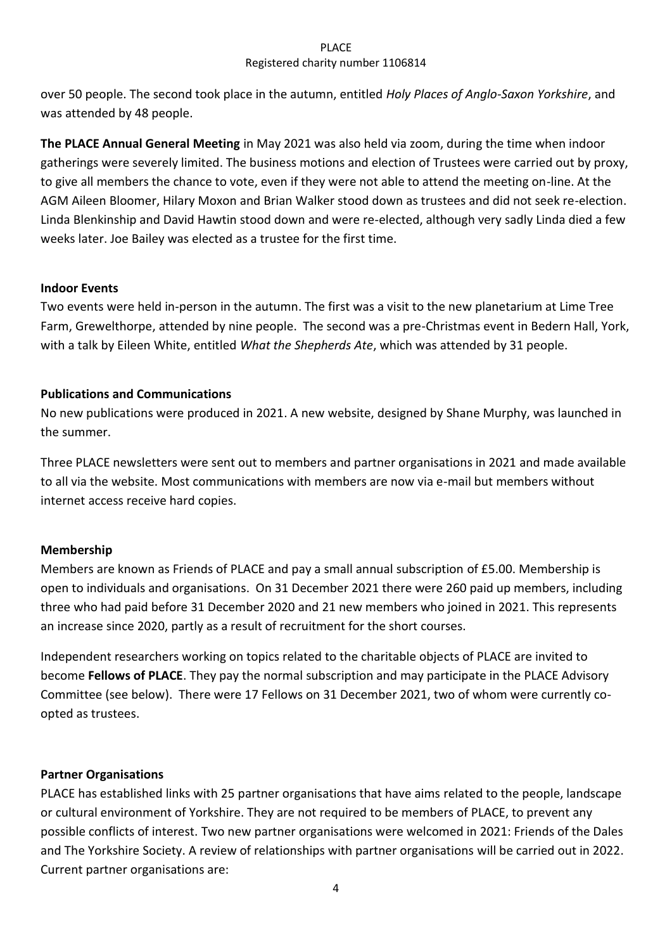over 50 people. The second took place in the autumn, entitled *Holy Places of Anglo-Saxon Yorkshire*, and was attended by 48 people.

**The PLACE Annual General Meeting** in May 2021 was also held via zoom, during the time when indoor gatherings were severely limited. The business motions and election of Trustees were carried out by proxy, to give all members the chance to vote, even if they were not able to attend the meeting on-line. At the AGM Aileen Bloomer, Hilary Moxon and Brian Walker stood down as trustees and did not seek re-election. Linda Blenkinship and David Hawtin stood down and were re-elected, although very sadly Linda died a few weeks later. Joe Bailey was elected as a trustee for the first time.

# **Indoor Events**

Two events were held in-person in the autumn. The first was a visit to the new planetarium at Lime Tree Farm, Grewelthorpe, attended by nine people. The second was a pre-Christmas event in Bedern Hall, York, with a talk by Eileen White, entitled *What the Shepherds Ate*, which was attended by 31 people.

# **Publications and Communications**

No new publications were produced in 2021. A new website, designed by Shane Murphy, was launched in the summer.

Three PLACE newsletters were sent out to members and partner organisations in 2021 and made available to all via the website. Most communications with members are now via e-mail but members without internet access receive hard copies.

# **Membership**

Members are known as Friends of PLACE and pay a small annual subscription of £5.00. Membership is open to individuals and organisations. On 31 December 2021 there were 260 paid up members, including three who had paid before 31 December 2020 and 21 new members who joined in 2021. This represents an increase since 2020, partly as a result of recruitment for the short courses.

Independent researchers working on topics related to the charitable objects of PLACE are invited to become **Fellows of PLACE**. They pay the normal subscription and may participate in the PLACE Advisory Committee (see below). There were 17 Fellows on 31 December 2021, two of whom were currently coopted as trustees.

# **Partner Organisations**

PLACE has established links with 25 partner organisations that have aims related to the people, landscape or cultural environment of Yorkshire. They are not required to be members of PLACE, to prevent any possible conflicts of interest. Two new partner organisations were welcomed in 2021: Friends of the Dales and The Yorkshire Society. A review of relationships with partner organisations will be carried out in 2022. Current partner organisations are: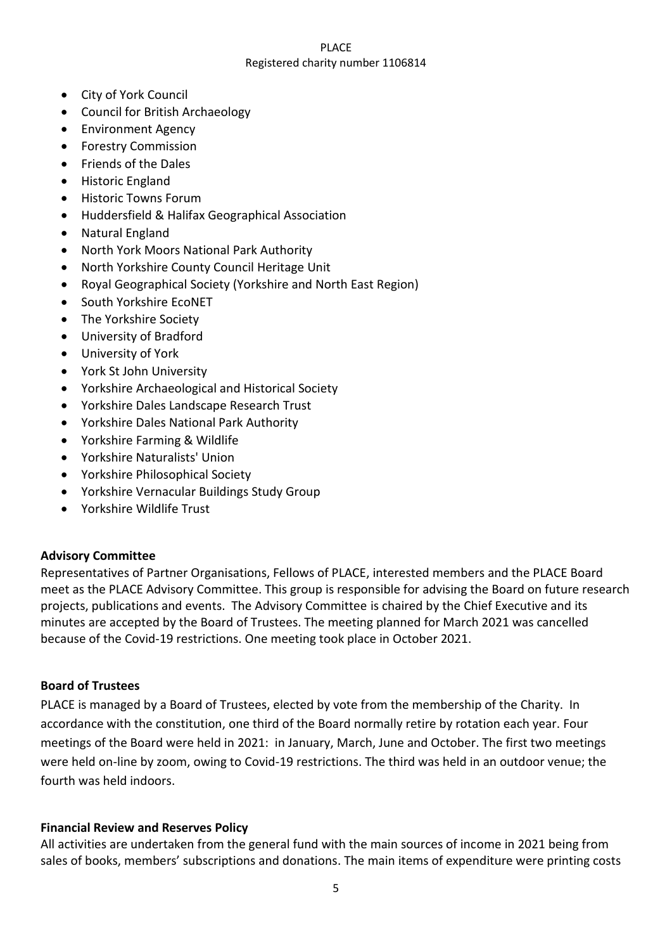- City of York Council
- Council for British Archaeology
- Environment Agency
- Forestry Commission
- Friends of the Dales
- Historic England
- Historic Towns Forum
- Huddersfield & Halifax Geographical Association
- Natural England
- North York Moors National Park Authority
- North Yorkshire County Council Heritage Unit
- Royal Geographical Society (Yorkshire and North East Region)
- South Yorkshire EcoNET
- The Yorkshire Society
- University of Bradford
- University of York
- York St John University
- Yorkshire Archaeological and Historical Society
- Yorkshire Dales Landscape Research Trust
- Yorkshire Dales National Park Authority
- Yorkshire Farming & Wildlife
- Yorkshire Naturalists' Union
- Yorkshire Philosophical Society
- Yorkshire Vernacular Buildings Study Group
- Yorkshire Wildlife Trust

# **Advisory Committee**

Representatives of Partner Organisations, Fellows of PLACE, interested members and the PLACE Board meet as the PLACE Advisory Committee. This group is responsible for advising the Board on future research projects, publications and events. The Advisory Committee is chaired by the Chief Executive and its minutes are accepted by the Board of Trustees. The meeting planned for March 2021 was cancelled because of the Covid-19 restrictions. One meeting took place in October 2021.

# **Board of Trustees**

PLACE is managed by a Board of Trustees, elected by vote from the membership of the Charity. In accordance with the constitution, one third of the Board normally retire by rotation each year. Four meetings of the Board were held in 2021: in January, March, June and October. The first two meetings were held on-line by zoom, owing to Covid-19 restrictions. The third was held in an outdoor venue; the fourth was held indoors.

# **Financial Review and Reserves Policy**

All activities are undertaken from the general fund with the main sources of income in 2021 being from sales of books, members' subscriptions and donations. The main items of expenditure were printing costs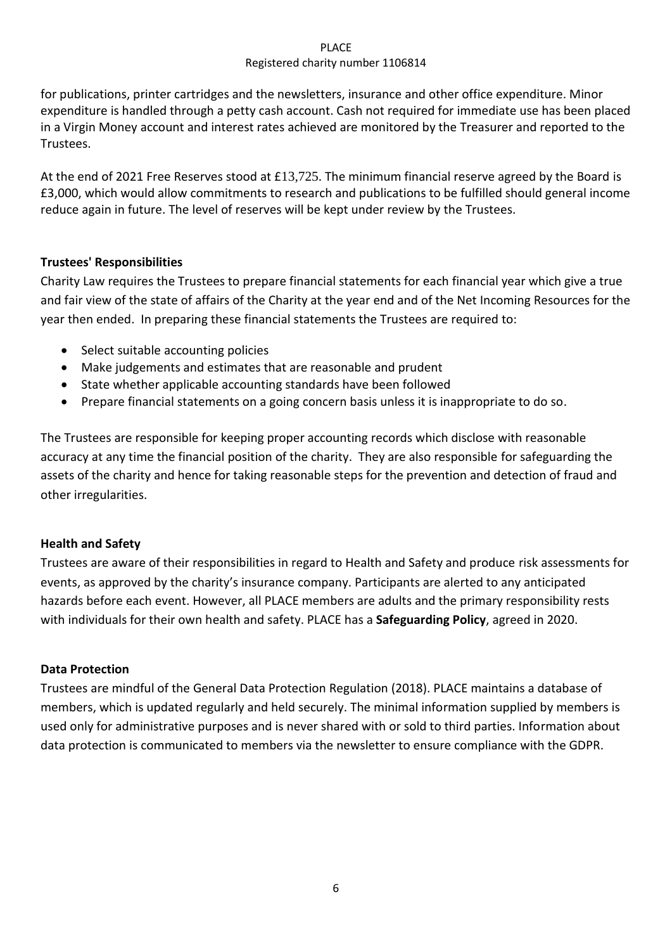for publications, printer cartridges and the newsletters, insurance and other office expenditure. Minor expenditure is handled through a petty cash account. Cash not required for immediate use has been placed in a Virgin Money account and interest rates achieved are monitored by the Treasurer and reported to the Trustees.

At the end of 2021 Free Reserves stood at £13,725. The minimum financial reserve agreed by the Board is £3,000, which would allow commitments to research and publications to be fulfilled should general income reduce again in future. The level of reserves will be kept under review by the Trustees.

# **Trustees' Responsibilities**

Charity Law requires the Trustees to prepare financial statements for each financial year which give a true and fair view of the state of affairs of the Charity at the year end and of the Net Incoming Resources for the year then ended. In preparing these financial statements the Trustees are required to:

- Select suitable accounting policies
- Make judgements and estimates that are reasonable and prudent
- State whether applicable accounting standards have been followed
- Prepare financial statements on a going concern basis unless it is inappropriate to do so.

The Trustees are responsible for keeping proper accounting records which disclose with reasonable accuracy at any time the financial position of the charity. They are also responsible for safeguarding the assets of the charity and hence for taking reasonable steps for the prevention and detection of fraud and other irregularities.

# **Health and Safety**

Trustees are aware of their responsibilities in regard to Health and Safety and produce risk assessments for events, as approved by the charity's insurance company. Participants are alerted to any anticipated hazards before each event. However, all PLACE members are adults and the primary responsibility rests with individuals for their own health and safety. PLACE has a **Safeguarding Policy**, agreed in 2020.

# **Data Protection**

Trustees are mindful of the General Data Protection Regulation (2018). PLACE maintains a database of members, which is updated regularly and held securely. The minimal information supplied by members is used only for administrative purposes and is never shared with or sold to third parties. Information about data protection is communicated to members via the newsletter to ensure compliance with the GDPR.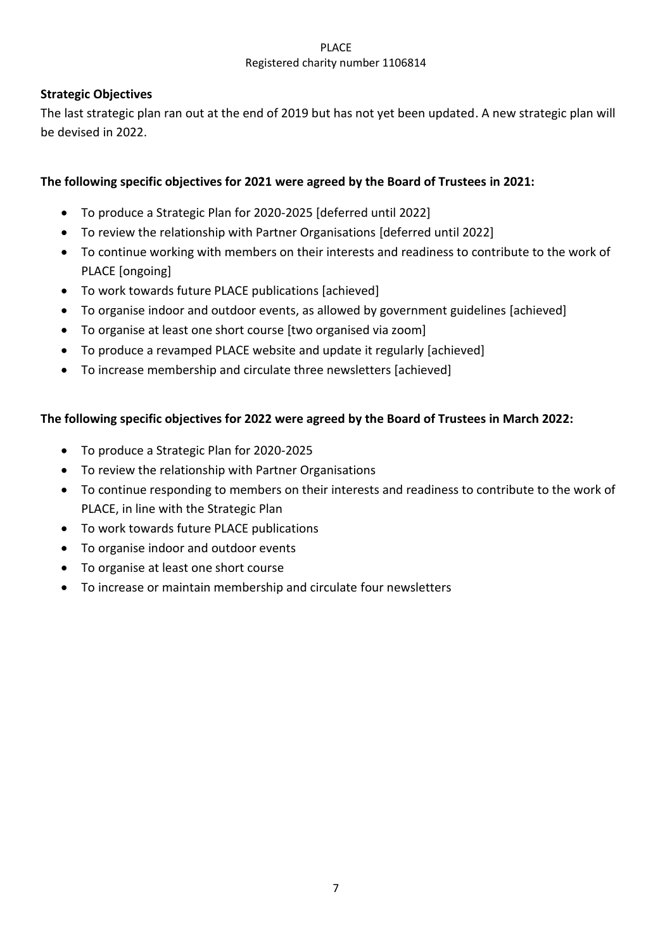# **Strategic Objectives**

The last strategic plan ran out at the end of 2019 but has not yet been updated. A new strategic plan will be devised in 2022.

# **The following specific objectives for 2021 were agreed by the Board of Trustees in 2021:**

- To produce a Strategic Plan for 2020-2025 [deferred until 2022]
- To review the relationship with Partner Organisations [deferred until 2022]
- To continue working with members on their interests and readiness to contribute to the work of PLACE [ongoing]
- To work towards future PLACE publications [achieved]
- To organise indoor and outdoor events, as allowed by government guidelines [achieved]
- To organise at least one short course [two organised via zoom]
- To produce a revamped PLACE website and update it regularly [achieved]
- To increase membership and circulate three newsletters [achieved]

# **The following specific objectives for 2022 were agreed by the Board of Trustees in March 2022:**

- To produce a Strategic Plan for 2020-2025
- To review the relationship with Partner Organisations
- To continue responding to members on their interests and readiness to contribute to the work of PLACE, in line with the Strategic Plan
- To work towards future PLACE publications
- To organise indoor and outdoor events
- To organise at least one short course
- To increase or maintain membership and circulate four newsletters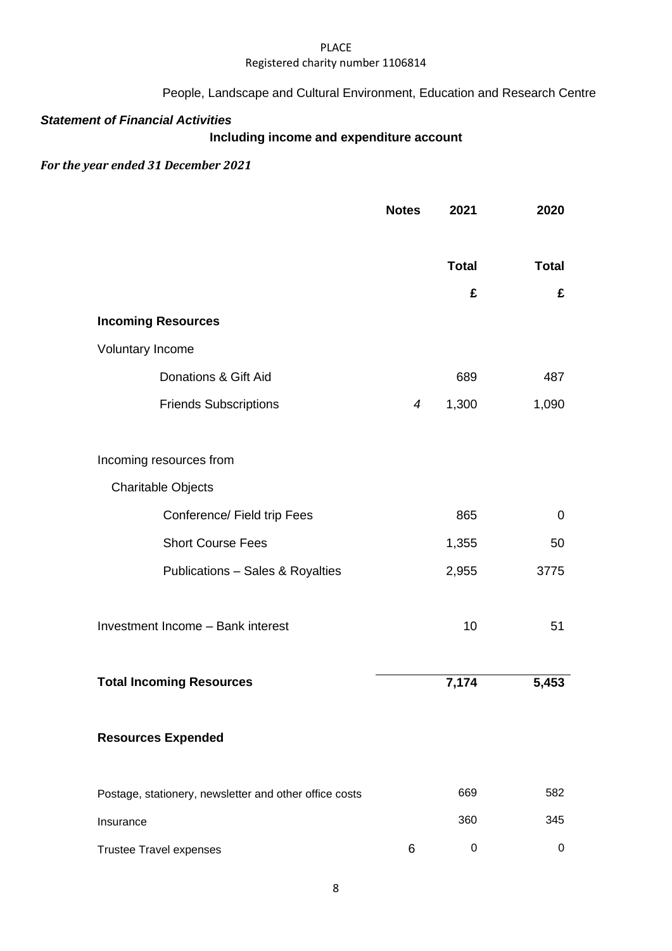### PLACE

## Registered charity number 1106814

# People, Landscape and Cultural Environment, Education and Research Centre

# *Statement of Financial Activities*

# **Including income and expenditure account**

# *For the year ended 31 December 2021*

|                                                        | <b>Notes</b>   | 2021         | 2020         |
|--------------------------------------------------------|----------------|--------------|--------------|
|                                                        |                | <b>Total</b> | <b>Total</b> |
|                                                        |                | £            | £            |
| <b>Incoming Resources</b>                              |                |              |              |
| Voluntary Income                                       |                |              |              |
| Donations & Gift Aid                                   |                | 689          | 487          |
| <b>Friends Subscriptions</b>                           | $\overline{4}$ | 1,300        | 1,090        |
| Incoming resources from                                |                |              |              |
| <b>Charitable Objects</b>                              |                |              |              |
| Conference/ Field trip Fees                            |                | 865          | 0            |
| <b>Short Course Fees</b>                               |                | 1,355        | 50           |
| Publications - Sales & Royalties                       |                | 2,955        | 3775         |
| Investment Income - Bank interest                      |                | 10           | 51           |
| <b>Total Incoming Resources</b>                        |                | 7,174        | 5,453        |
| <b>Resources Expended</b>                              |                |              |              |
| Postage, stationery, newsletter and other office costs |                | 669          | 582          |
| Insurance                                              |                | 360          | 345          |
| <b>Trustee Travel expenses</b>                         | 6              | 0            | 0            |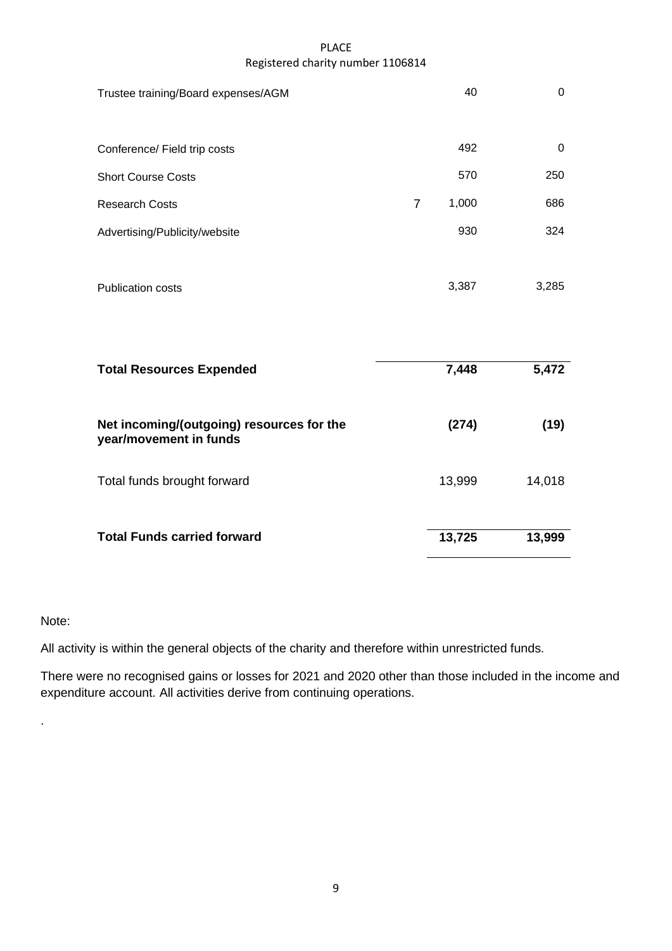| Trustee training/Board expenses/AGM                                 |                | 40     | $\mathbf 0$ |
|---------------------------------------------------------------------|----------------|--------|-------------|
| Conference/ Field trip costs                                        |                | 492    | 0           |
| <b>Short Course Costs</b>                                           |                | 570    | 250         |
| <b>Research Costs</b>                                               | $\overline{7}$ | 1,000  | 686         |
| Advertising/Publicity/website                                       |                | 930    | 324         |
| <b>Publication costs</b>                                            |                | 3,387  | 3,285       |
| <b>Total Resources Expended</b>                                     |                | 7,448  | 5,472       |
| Net incoming/(outgoing) resources for the<br>year/movement in funds |                | (274)  | (19)        |
| Total funds brought forward                                         |                | 13,999 | 14,018      |
| <b>Total Funds carried forward</b>                                  |                | 13,725 | 13,999      |

# Note:

.

All activity is within the general objects of the charity and therefore within unrestricted funds.

There were no recognised gains or losses for 2021 and 2020 other than those included in the income and expenditure account. All activities derive from continuing operations.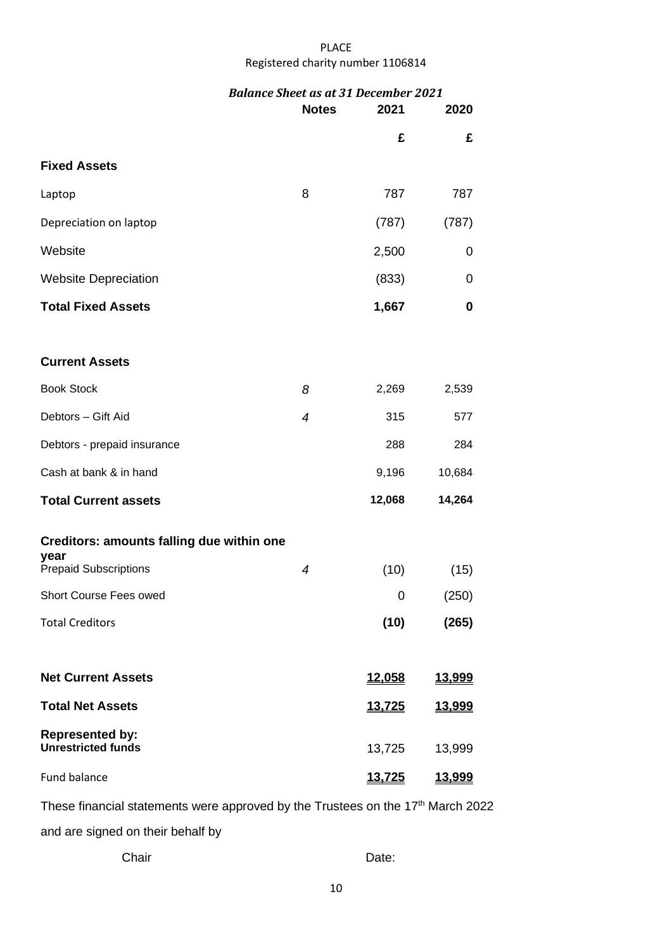| <b>Notes</b>   | 2021<br>£     | 2020<br>£     |
|----------------|---------------|---------------|
|                |               |               |
|                |               |               |
|                |               |               |
|                | 787           | 787           |
|                | (787)         | (787)         |
|                | 2,500         | 0             |
|                | (833)         | 0             |
|                | 1,667         | 0             |
|                |               |               |
| 8              | 2,269         | 2,539         |
| $\overline{4}$ | 315           | 577           |
|                | 288           | 284           |
|                | 9,196         | 10,684        |
|                | 12,068        | 14,264        |
|                |               |               |
| $\overline{4}$ | (10)          | (15)          |
|                | 0             | (250)         |
|                | (10)          | (265)         |
|                | 12.058        | 13,999        |
|                | <u>13,725</u> | <u>13,999</u> |
|                | 13,725        | 13,999        |
|                | <u>13,725</u> | 13,999        |
|                | 8             |               |

These financial statements were approved by the Trustees on the 17<sup>th</sup> March 2022 and are signed on their behalf by

Chair **Date:**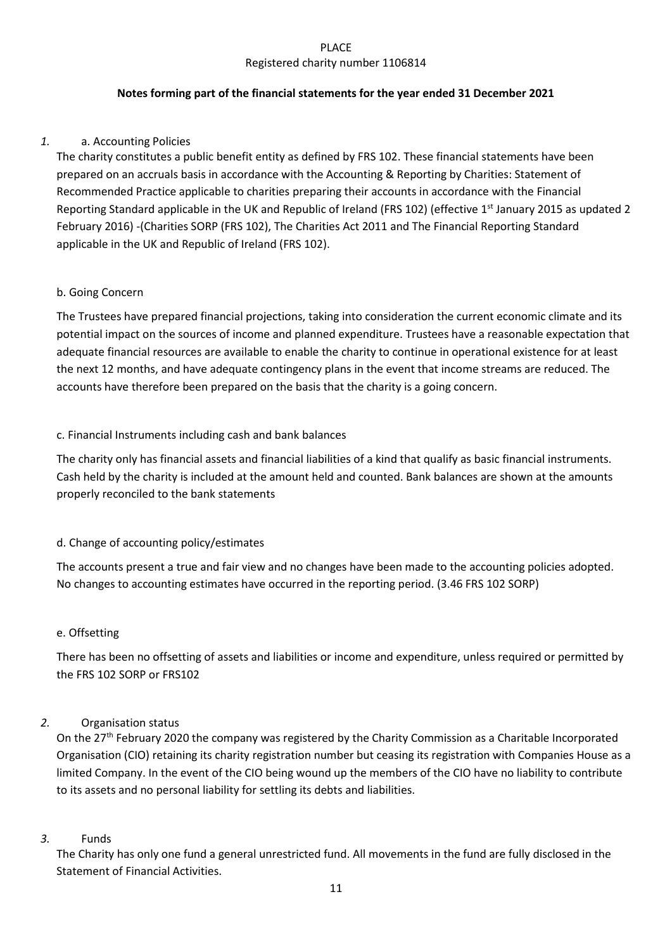# **Notes forming part of the financial statements for the year ended 31 December 2021**

# *1.* a. Accounting Policies

The charity constitutes a public benefit entity as defined by FRS 102. These financial statements have been prepared on an accruals basis in accordance with the Accounting & Reporting by Charities: Statement of Recommended Practice applicable to charities preparing their accounts in accordance with the Financial Reporting Standard applicable in the UK and Republic of Ireland (FRS 102) (effective 1st January 2015 as updated 2 February 2016) -(Charities SORP (FRS 102), The Charities Act 2011 and The Financial Reporting Standard applicable in the UK and Republic of Ireland (FRS 102).

# b. Going Concern

The Trustees have prepared financial projections, taking into consideration the current economic climate and its potential impact on the sources of income and planned expenditure. Trustees have a reasonable expectation that adequate financial resources are available to enable the charity to continue in operational existence for at least the next 12 months, and have adequate contingency plans in the event that income streams are reduced. The accounts have therefore been prepared on the basis that the charity is a going concern.

# c. Financial Instruments including cash and bank balances

The charity only has financial assets and financial liabilities of a kind that qualify as basic financial instruments. Cash held by the charity is included at the amount held and counted. Bank balances are shown at the amounts properly reconciled to the bank statements

# d. Change of accounting policy/estimates

The accounts present a true and fair view and no changes have been made to the accounting policies adopted. No changes to accounting estimates have occurred in the reporting period. (3.46 FRS 102 SORP)

# e. Offsetting

There has been no offsetting of assets and liabilities or income and expenditure, unless required or permitted by the FRS 102 SORP or FRS102

# *2.* Organisation status

On the 27<sup>th</sup> February 2020 the company was registered by the Charity Commission as a Charitable Incorporated Organisation (CIO) retaining its charity registration number but ceasing its registration with Companies House as a limited Company. In the event of the CIO being wound up the members of the CIO have no liability to contribute to its assets and no personal liability for settling its debts and liabilities.

### *3.* Funds

The Charity has only one fund a general unrestricted fund. All movements in the fund are fully disclosed in the Statement of Financial Activities.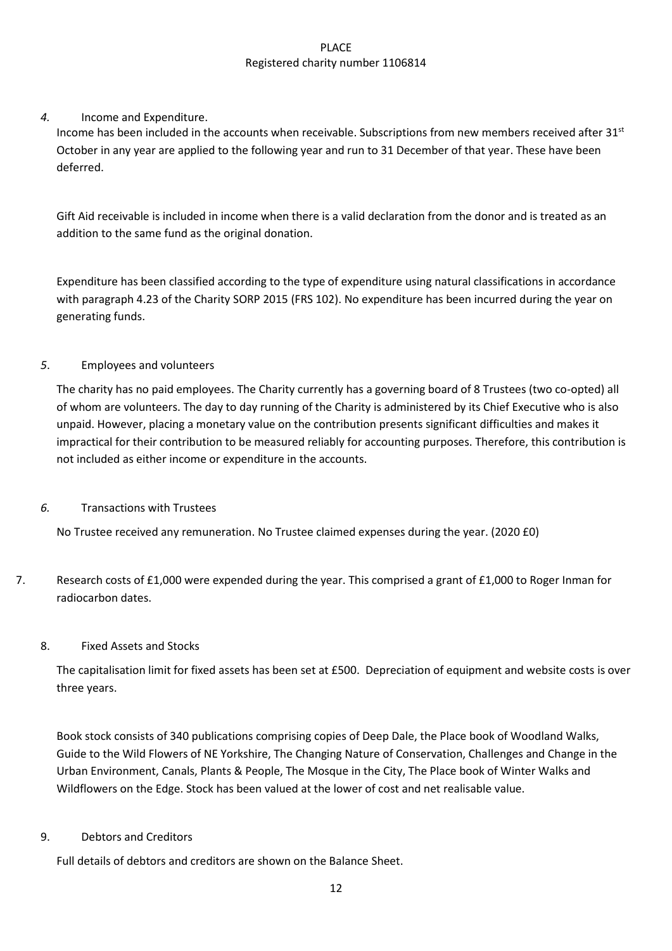## *4.* Income and Expenditure.

Income has been included in the accounts when receivable. Subscriptions from new members received after 31<sup>st</sup> October in any year are applied to the following year and run to 31 December of that year. These have been deferred.

Gift Aid receivable is included in income when there is a valid declaration from the donor and is treated as an addition to the same fund as the original donation.

Expenditure has been classified according to the type of expenditure using natural classifications in accordance with paragraph 4.23 of the Charity SORP 2015 (FRS 102). No expenditure has been incurred during the year on generating funds.

### *5*. Employees and volunteers

The charity has no paid employees. The Charity currently has a governing board of 8 Trustees (two co-opted) all of whom are volunteers. The day to day running of the Charity is administered by its Chief Executive who is also unpaid. However, placing a monetary value on the contribution presents significant difficulties and makes it impractical for their contribution to be measured reliably for accounting purposes. Therefore, this contribution is not included as either income or expenditure in the accounts.

### *6.* Transactions with Trustees

No Trustee received any remuneration. No Trustee claimed expenses during the year. (2020 £0)

7. Research costs of £1,000 were expended during the year. This comprised a grant of £1,000 to Roger Inman for radiocarbon dates.

# 8. Fixed Assets and Stocks

The capitalisation limit for fixed assets has been set at £500. Depreciation of equipment and website costs is over three years.

Book stock consists of 340 publications comprising copies of Deep Dale, the Place book of Woodland Walks, Guide to the Wild Flowers of NE Yorkshire, The Changing Nature of Conservation, Challenges and Change in the Urban Environment, Canals, Plants & People, The Mosque in the City, The Place book of Winter Walks and Wildflowers on the Edge. Stock has been valued at the lower of cost and net realisable value.

### 9. Debtors and Creditors

Full details of debtors and creditors are shown on the Balance Sheet.